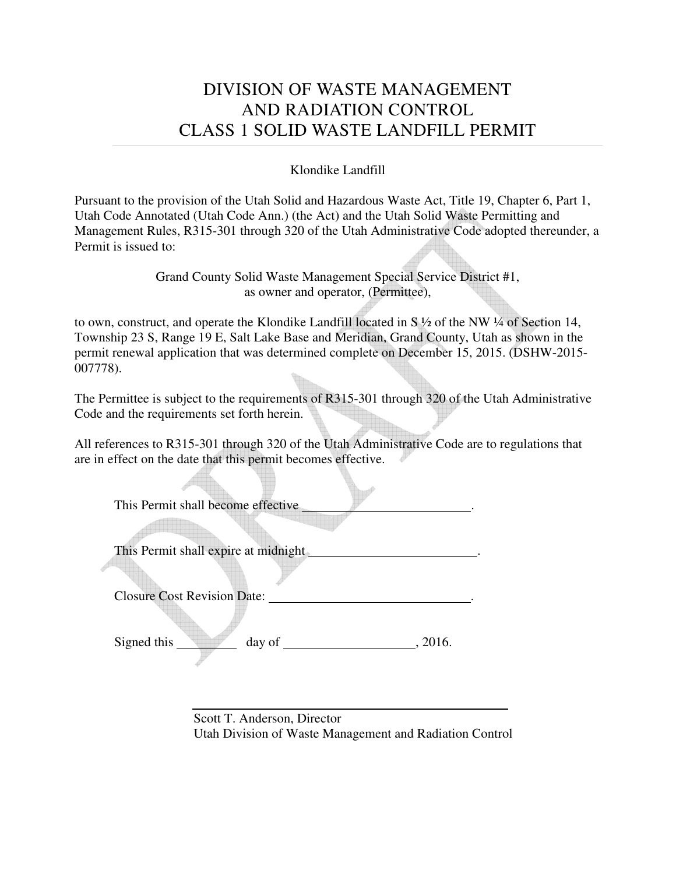## DIVISION OF WASTE MANAGEMENT AND RADIATION CONTROL CLASS 1 SOLID WASTE LANDFILL PERMIT

Klondike Landfill

Pursuant to the provision of the Utah Solid and Hazardous Waste Act, Title 19, Chapter 6, Part 1, Utah Code Annotated (Utah Code Ann.) (the Act) and the Utah Solid Waste Permitting and Management Rules, R315-301 through 320 of the Utah Administrative Code adopted thereunder, a Permit is issued to:

> Grand County Solid Waste Management Special Service District #1, as owner and operator, (Permittee),

to own, construct, and operate the Klondike Landfill located in S ½ of the NW ¼ of Section 14, Township 23 S, Range 19 E, Salt Lake Base and Meridian, Grand County, Utah as shown in the permit renewal application that was determined complete on December 15, 2015. (DSHW-2015- 007778).

The Permittee is subject to the requirements of R315-301 through 320 of the Utah Administrative Code and the requirements set forth herein.

All references to R315-301 through 320 of the Utah Administrative Code are to regulations that are in effect on the date that this permit becomes effective.

| This Permit shall become effective             |         |
|------------------------------------------------|---------|
| This Permit shall expire at midnight           |         |
| <b>Closure Cost Revision Date:</b>             |         |
| Signed this<br>day of $\overline{\phantom{a}}$ | , 2016. |

 $\sqrt{1-\frac{1}{2}}$ 

 Scott T. Anderson, Director Utah Division of Waste Management and Radiation Control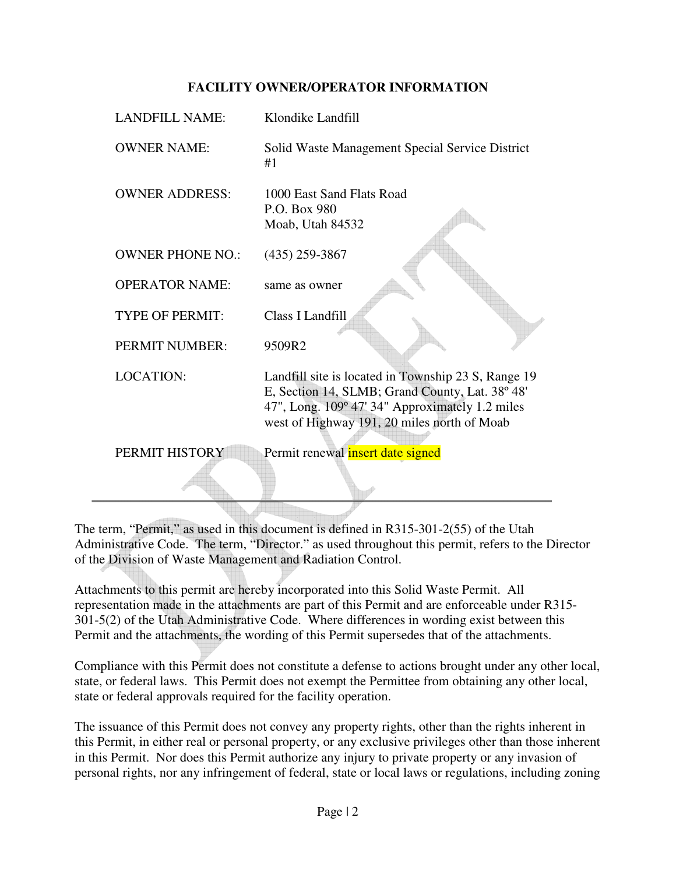#### **FACILITY OWNER/OPERATOR INFORMATION**

| <b>LANDFILL NAME:</b>   | Klondike Landfill                                                                                                                                                                                        |
|-------------------------|----------------------------------------------------------------------------------------------------------------------------------------------------------------------------------------------------------|
| <b>OWNER NAME:</b>      | Solid Waste Management Special Service District<br>#1                                                                                                                                                    |
| <b>OWNER ADDRESS:</b>   | 1000 East Sand Flats Road<br>P.O. Box 980<br>Moab, Utah 84532                                                                                                                                            |
| <b>OWNER PHONE NO.:</b> | $(435)$ 259-3867                                                                                                                                                                                         |
| <b>OPERATOR NAME:</b>   | same as owner                                                                                                                                                                                            |
| <b>TYPE OF PERMIT:</b>  | Class I Landfill                                                                                                                                                                                         |
| PERMIT NUMBER:          | 9509R2                                                                                                                                                                                                   |
| <b>LOCATION:</b>        | Landfill site is located in Township 23 S, Range 19<br>E, Section 14, SLMB; Grand County, Lat. 38° 48'<br>47", Long. 109° 47' 34" Approximately 1.2 miles<br>west of Highway 191, 20 miles north of Moab |
| PERMIT HISTORY          | Permit renewal <i>insert</i> date signed                                                                                                                                                                 |
|                         |                                                                                                                                                                                                          |

The term, "Permit," as used in this document is defined in R315-301-2(55) of the Utah Administrative Code. The term, "Director." as used throughout this permit, refers to the Director of the Division of Waste Management and Radiation Control.

Attachments to this permit are hereby incorporated into this Solid Waste Permit. All representation made in the attachments are part of this Permit and are enforceable under R315- 301-5(2) of the Utah Administrative Code. Where differences in wording exist between this Permit and the attachments, the wording of this Permit supersedes that of the attachments.

Compliance with this Permit does not constitute a defense to actions brought under any other local, state, or federal laws. This Permit does not exempt the Permittee from obtaining any other local, state or federal approvals required for the facility operation.

The issuance of this Permit does not convey any property rights, other than the rights inherent in this Permit, in either real or personal property, or any exclusive privileges other than those inherent in this Permit. Nor does this Permit authorize any injury to private property or any invasion of personal rights, nor any infringement of federal, state or local laws or regulations, including zoning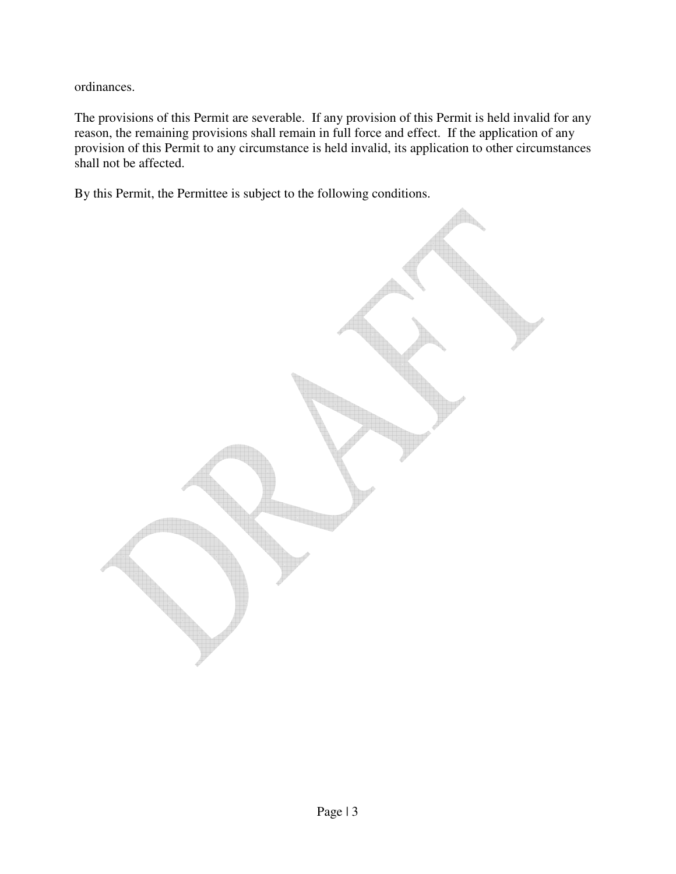ordinances.

The provisions of this Permit are severable. If any provision of this Permit is held invalid for any reason, the remaining provisions shall remain in full force and effect. If the application of any provision of this Permit to any circumstance is held invalid, its application to other circumstances shall not be affected.

By this Permit, the Permittee is subject to the following conditions.

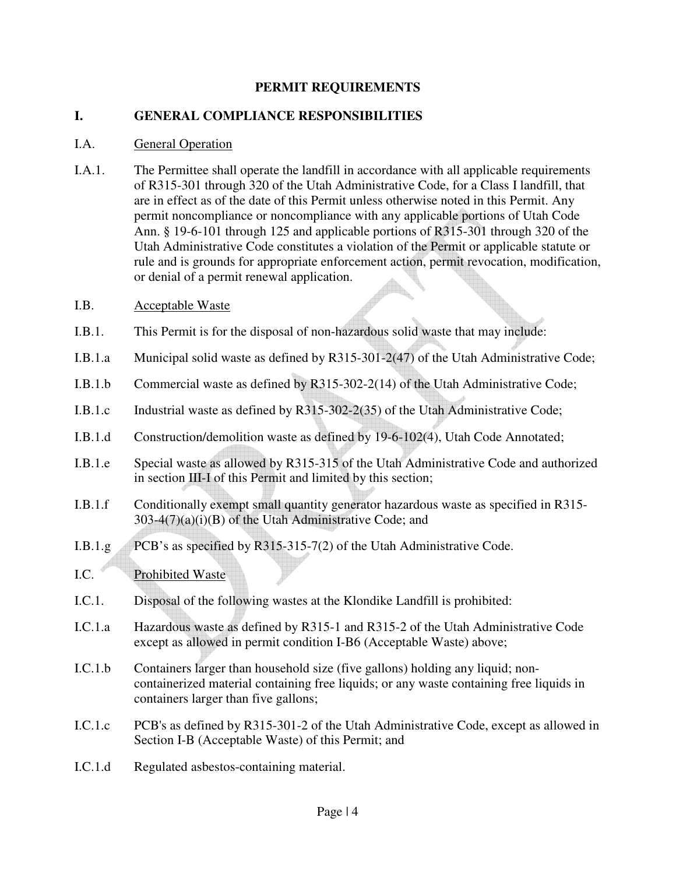#### **PERMIT REQUIREMENTS**

#### **I. GENERAL COMPLIANCE RESPONSIBILITIES**

#### I.A. General Operation

I.A.1. The Permittee shall operate the landfill in accordance with all applicable requirements of R315-301 through 320 of the Utah Administrative Code, for a Class I landfill, that are in effect as of the date of this Permit unless otherwise noted in this Permit. Any permit noncompliance or noncompliance with any applicable portions of Utah Code Ann. § 19-6-101 through 125 and applicable portions of R315-301 through 320 of the Utah Administrative Code constitutes a violation of the Permit or applicable statute or rule and is grounds for appropriate enforcement action, permit revocation, modification, or denial of a permit renewal application.

#### I.B. Acceptable Waste

- I.B.1. This Permit is for the disposal of non-hazardous solid waste that may include:
- I.B.1.a Municipal solid waste as defined by R315-301-2(47) of the Utah Administrative Code;
- I.B.1.b Commercial waste as defined by R315-302-2(14) of the Utah Administrative Code;
- I.B.1.c Industrial waste as defined by R315-302-2(35) of the Utah Administrative Code;
- I.B.1.d Construction/demolition waste as defined by 19-6-102(4), Utah Code Annotated;
- I.B.1.e Special waste as allowed by R315-315 of the Utah Administrative Code and authorized in section III-I of this Permit and limited by this section;
- I.B.1.f Conditionally exempt small quantity generator hazardous waste as specified in R315-  $303-4(7)(a)(i)(B)$  of the Utah Administrative Code; and
- I.B.1.g PCB's as specified by R315-315-7(2) of the Utah Administrative Code.
- I.C. Prohibited Waste
- I.C.1. Disposal of the following wastes at the Klondike Landfill is prohibited:
- I.C.1.a Hazardous waste as defined by R315-1 and R315-2 of the Utah Administrative Code except as allowed in permit condition I-B6 (Acceptable Waste) above;
- I.C.1.b Containers larger than household size (five gallons) holding any liquid; noncontainerized material containing free liquids; or any waste containing free liquids in containers larger than five gallons;
- I.C.1.c PCB's as defined by R315-301-2 of the Utah Administrative Code, except as allowed in Section I-B (Acceptable Waste) of this Permit; and
- I.C.1.d Regulated asbestos-containing material.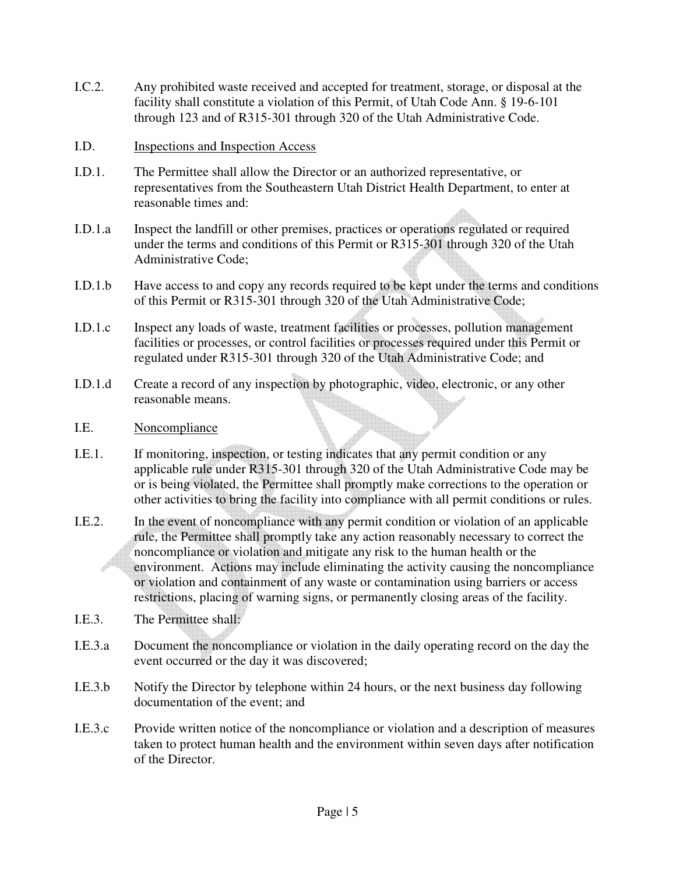- I.C.2. Any prohibited waste received and accepted for treatment, storage, or disposal at the facility shall constitute a violation of this Permit, of Utah Code Ann. § 19-6-101 through 123 and of R315-301 through 320 of the Utah Administrative Code.
- I.D. Inspections and Inspection Access
- I.D.1. The Permittee shall allow the Director or an authorized representative, or representatives from the Southeastern Utah District Health Department, to enter at reasonable times and:
- I.D.1.a Inspect the landfill or other premises, practices or operations regulated or required under the terms and conditions of this Permit or R315-301 through 320 of the Utah Administrative Code;
- I.D.1.b Have access to and copy any records required to be kept under the terms and conditions of this Permit or R315-301 through 320 of the Utah Administrative Code;
- I.D.1.c Inspect any loads of waste, treatment facilities or processes, pollution management facilities or processes, or control facilities or processes required under this Permit or regulated under R315-301 through 320 of the Utah Administrative Code; and
- I.D.1.d Create a record of any inspection by photographic, video, electronic, or any other reasonable means.
- I.E. Noncompliance
- I.E.1. If monitoring, inspection, or testing indicates that any permit condition or any applicable rule under R315-301 through 320 of the Utah Administrative Code may be or is being violated, the Permittee shall promptly make corrections to the operation or other activities to bring the facility into compliance with all permit conditions or rules.
- I.E.2. In the event of noncompliance with any permit condition or violation of an applicable rule, the Permittee shall promptly take any action reasonably necessary to correct the noncompliance or violation and mitigate any risk to the human health or the environment. Actions may include eliminating the activity causing the noncompliance or violation and containment of any waste or contamination using barriers or access restrictions, placing of warning signs, or permanently closing areas of the facility.
- I.E.3. The Permittee shall:
- I.E.3.a Document the noncompliance or violation in the daily operating record on the day the event occurred or the day it was discovered;
- I.E.3.b Notify the Director by telephone within 24 hours, or the next business day following documentation of the event; and
- I.E.3.c Provide written notice of the noncompliance or violation and a description of measures taken to protect human health and the environment within seven days after notification of the Director.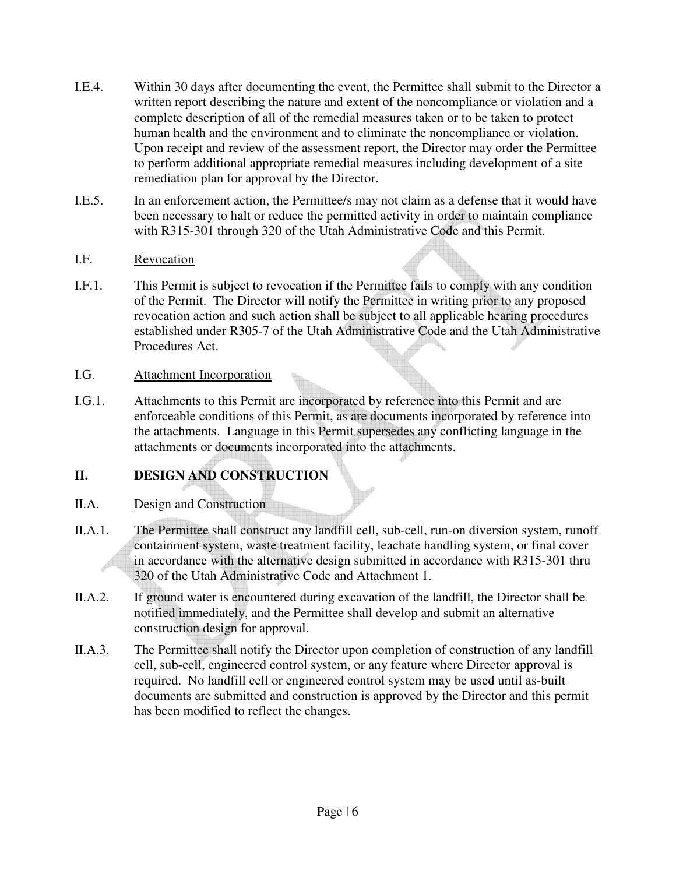- I.E.4. Within 30 days after documenting the event, the Permittee shall submit to the Director a written report describing the nature and extent of the noncompliance or violation and a complete description of all of the remedial measures taken or to be taken to protect human health and the environment and to eliminate the noncompliance or violation. Upon receipt and review of the assessment report, the Director may order the Permittee to perform additional appropriate remedial measures including development of a site remediation plan for approval by the Director.
- I.E.5. In an enforcement action, the Permittee/s may not claim as a defense that it would have been necessary to halt or reduce the permitted activity in order to maintain compliance with R315-301 through 320 of the Utah Administrative Code and this Permit.

#### I.F. Revocation

I.F.1. This Permit is subject to revocation if the Permittee fails to comply with any condition of the Permit. The Director will notify the Permittee in writing prior to any proposed revocation action and such action shall be subject to all applicable hearing procedures established under R305-7 of the Utah Administrative Code and the Utah Administrative Procedures Act.

## I.G. Attachment Incorporation

I.G.1. Attachments to this Permit are incorporated by reference into this Permit and are enforceable conditions of this Permit, as are documents incorporated by reference into the attachments. Language in this Permit supersedes any conflicting language in the attachments or documents incorporated into the attachments.

## **II. DESIGN AND CONSTRUCTION**

## II.A. Design and Construction

- II.A.1. The Permittee shall construct any landfill cell, sub-cell, run-on diversion system, runoff containment system, waste treatment facility, leachate handling system, or final cover in accordance with the alternative design submitted in accordance with R315-301 thru 320 of the Utah Administrative Code and Attachment 1.
- II.A.2. If ground water is encountered during excavation of the landfill, the Director shall be notified immediately, and the Permittee shall develop and submit an alternative construction design for approval.
- II.A.3. The Permittee shall notify the Director upon completion of construction of any landfill cell, sub-cell, engineered control system, or any feature where Director approval is required. No landfill cell or engineered control system may be used until as-built documents are submitted and construction is approved by the Director and this permit has been modified to reflect the changes.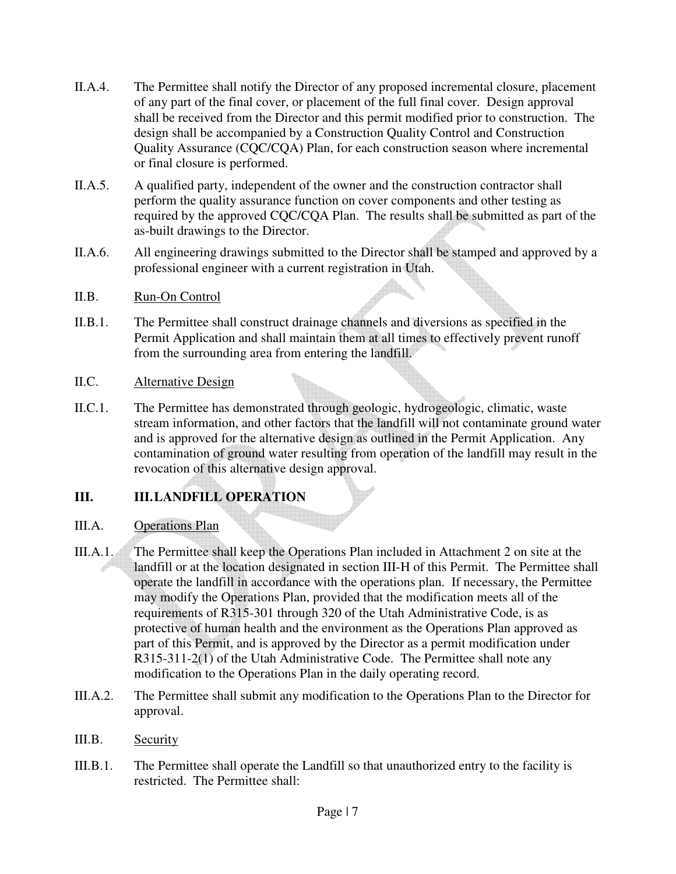- II.A.4. The Permittee shall notify the Director of any proposed incremental closure, placement of any part of the final cover, or placement of the full final cover. Design approval shall be received from the Director and this permit modified prior to construction. The design shall be accompanied by a Construction Quality Control and Construction Quality Assurance (CQC/CQA) Plan, for each construction season where incremental or final closure is performed.
- II.A.5. A qualified party, independent of the owner and the construction contractor shall perform the quality assurance function on cover components and other testing as required by the approved CQC/CQA Plan. The results shall be submitted as part of the as-built drawings to the Director.
- II.A.6. All engineering drawings submitted to the Director shall be stamped and approved by a professional engineer with a current registration in Utah.
- II.B. Run-On Control
- II.B.1. The Permittee shall construct drainage channels and diversions as specified in the Permit Application and shall maintain them at all times to effectively prevent runoff from the surrounding area from entering the landfill.
- II.C. Alternative Design
- II.C.1. The Permittee has demonstrated through geologic, hydrogeologic, climatic, waste stream information, and other factors that the landfill will not contaminate ground water and is approved for the alternative design as outlined in the Permit Application. Any contamination of ground water resulting from operation of the landfill may result in the revocation of this alternative design approval.

## **III. III. LANDFILL OPERATION**

## III.A. Operations Plan

- III.A.1. The Permittee shall keep the Operations Plan included in Attachment 2 on site at the landfill or at the location designated in section III-H of this Permit. The Permittee shall operate the landfill in accordance with the operations plan. If necessary, the Permittee may modify the Operations Plan, provided that the modification meets all of the requirements of R315-301 through 320 of the Utah Administrative Code, is as protective of human health and the environment as the Operations Plan approved as part of this Permit, and is approved by the Director as a permit modification under R315-311-2(1) of the Utah Administrative Code. The Permittee shall note any modification to the Operations Plan in the daily operating record.
- III.A.2. The Permittee shall submit any modification to the Operations Plan to the Director for approval.
- III.B. Security
- III.B.1. The Permittee shall operate the Landfill so that unauthorized entry to the facility is restricted. The Permittee shall: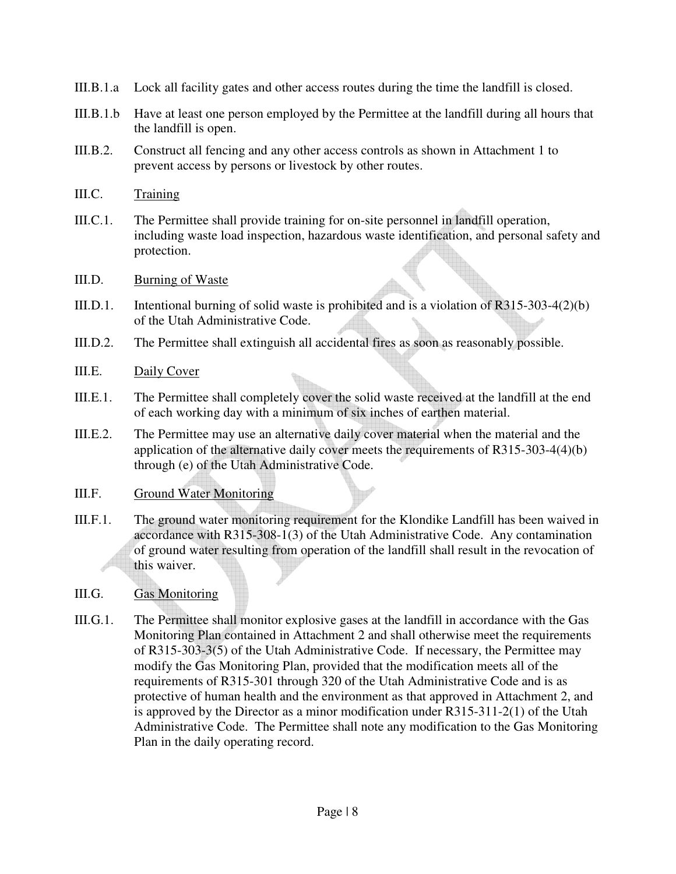- III.B.1.a Lock all facility gates and other access routes during the time the landfill is closed.
- III.B.1.b Have at least one person employed by the Permittee at the landfill during all hours that the landfill is open.
- III.B.2. Construct all fencing and any other access controls as shown in Attachment 1 to prevent access by persons or livestock by other routes.
- III.C. Training
- III.C.1. The Permittee shall provide training for on-site personnel in landfill operation, including waste load inspection, hazardous waste identification, and personal safety and protection.
- III.D. Burning of Waste
- III.D.1. Intentional burning of solid waste is prohibited and is a violation of R315-303-4(2)(b) of the Utah Administrative Code.
- III.D.2. The Permittee shall extinguish all accidental fires as soon as reasonably possible.
- III.E. Daily Cover
- III.E.1. The Permittee shall completely cover the solid waste received at the landfill at the end of each working day with a minimum of six inches of earthen material.
- III.E.2. The Permittee may use an alternative daily cover material when the material and the application of the alternative daily cover meets the requirements of R315-303-4(4)(b) through (e) of the Utah Administrative Code.

#### III.F. Ground Water Monitoring

- III.F.1. The ground water monitoring requirement for the Klondike Landfill has been waived in accordance with R315-308-1(3) of the Utah Administrative Code. Any contamination of ground water resulting from operation of the landfill shall result in the revocation of this waiver.
- III.G. Gas Monitoring
- III.G.1. The Permittee shall monitor explosive gases at the landfill in accordance with the Gas Monitoring Plan contained in Attachment 2 and shall otherwise meet the requirements of R315-303-3(5) of the Utah Administrative Code. If necessary, the Permittee may modify the Gas Monitoring Plan, provided that the modification meets all of the requirements of R315-301 through 320 of the Utah Administrative Code and is as protective of human health and the environment as that approved in Attachment 2, and is approved by the Director as a minor modification under R315-311-2(1) of the Utah Administrative Code. The Permittee shall note any modification to the Gas Monitoring Plan in the daily operating record.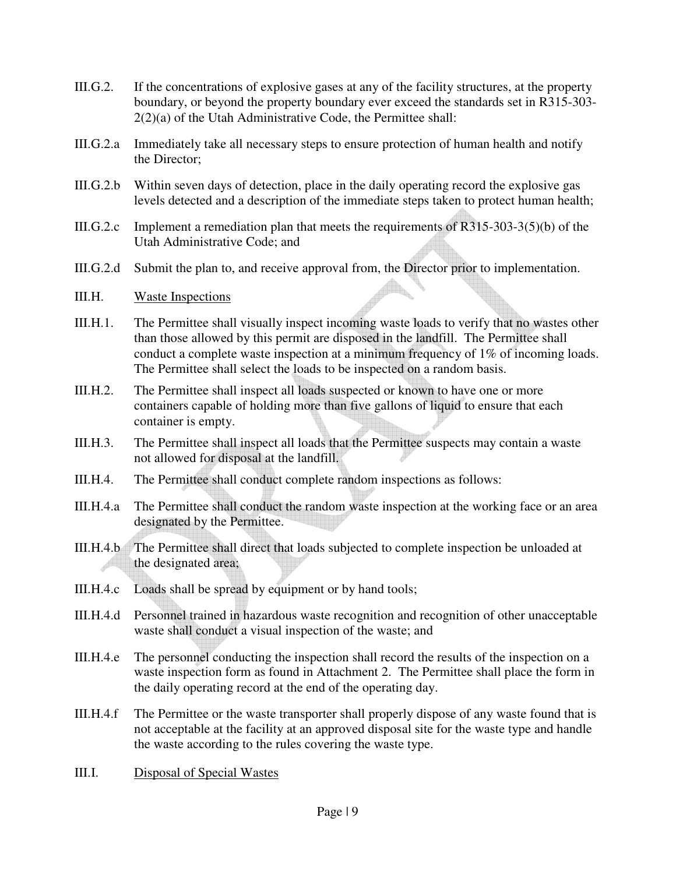- III.G.2. If the concentrations of explosive gases at any of the facility structures, at the property boundary, or beyond the property boundary ever exceed the standards set in R315-303- 2(2)(a) of the Utah Administrative Code, the Permittee shall:
- III.G.2.a Immediately take all necessary steps to ensure protection of human health and notify the Director;
- III.G.2.b Within seven days of detection, place in the daily operating record the explosive gas levels detected and a description of the immediate steps taken to protect human health;
- III.G.2.c Implement a remediation plan that meets the requirements of R315-303-3(5)(b) of the Utah Administrative Code; and
- III.G.2.d Submit the plan to, and receive approval from, the Director prior to implementation.

#### III.H. Waste Inspections

- III.H.1. The Permittee shall visually inspect incoming waste loads to verify that no wastes other than those allowed by this permit are disposed in the landfill. The Permittee shall conduct a complete waste inspection at a minimum frequency of 1% of incoming loads. The Permittee shall select the loads to be inspected on a random basis.
- III.H.2. The Permittee shall inspect all loads suspected or known to have one or more containers capable of holding more than five gallons of liquid to ensure that each container is empty.
- III.H.3. The Permittee shall inspect all loads that the Permittee suspects may contain a waste not allowed for disposal at the landfill.
- III.H.4. The Permittee shall conduct complete random inspections as follows:
- III.H.4.a The Permittee shall conduct the random waste inspection at the working face or an area designated by the Permittee.
- III.H.4.b The Permittee shall direct that loads subjected to complete inspection be unloaded at the designated area;
- III.H.4.c Loads shall be spread by equipment or by hand tools;
- III.H.4.d Personnel trained in hazardous waste recognition and recognition of other unacceptable waste shall conduct a visual inspection of the waste; and
- III.H.4.e The personnel conducting the inspection shall record the results of the inspection on a waste inspection form as found in Attachment 2. The Permittee shall place the form in the daily operating record at the end of the operating day.
- III.H.4.f The Permittee or the waste transporter shall properly dispose of any waste found that is not acceptable at the facility at an approved disposal site for the waste type and handle the waste according to the rules covering the waste type.
- III.I. Disposal of Special Wastes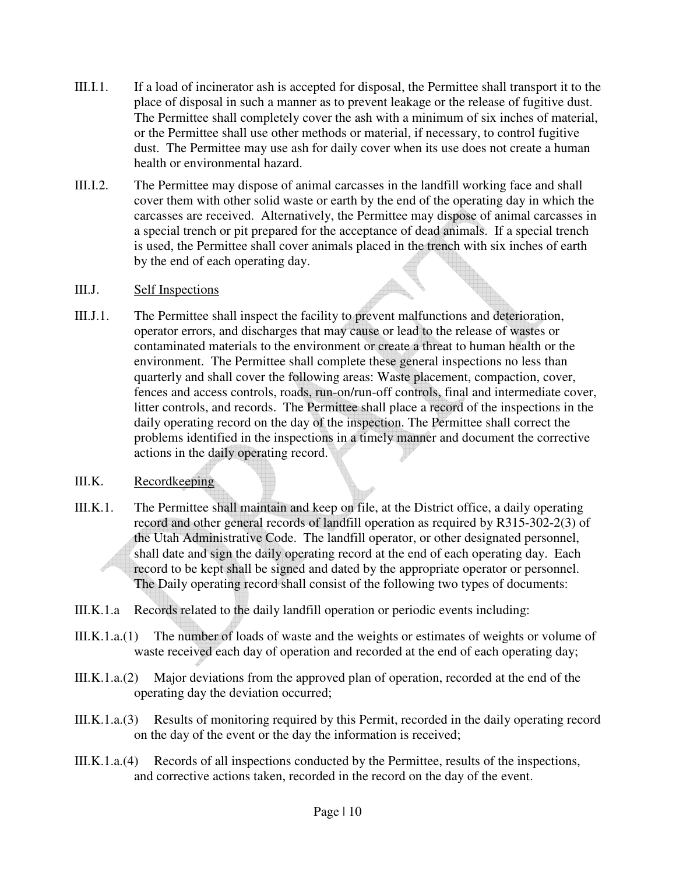- III.I.1. If a load of incinerator ash is accepted for disposal, the Permittee shall transport it to the place of disposal in such a manner as to prevent leakage or the release of fugitive dust. The Permittee shall completely cover the ash with a minimum of six inches of material, or the Permittee shall use other methods or material, if necessary, to control fugitive dust. The Permittee may use ash for daily cover when its use does not create a human health or environmental hazard.
- III.I.2. The Permittee may dispose of animal carcasses in the landfill working face and shall cover them with other solid waste or earth by the end of the operating day in which the carcasses are received. Alternatively, the Permittee may dispose of animal carcasses in a special trench or pit prepared for the acceptance of dead animals. If a special trench is used, the Permittee shall cover animals placed in the trench with six inches of earth by the end of each operating day.

#### III.J. Self Inspections

III.J.1. The Permittee shall inspect the facility to prevent malfunctions and deterioration, operator errors, and discharges that may cause or lead to the release of wastes or contaminated materials to the environment or create a threat to human health or the environment. The Permittee shall complete these general inspections no less than quarterly and shall cover the following areas: Waste placement, compaction, cover, fences and access controls, roads, run-on/run-off controls, final and intermediate cover, litter controls, and records. The Permittee shall place a record of the inspections in the daily operating record on the day of the inspection. The Permittee shall correct the problems identified in the inspections in a timely manner and document the corrective actions in the daily operating record.

#### III.K. Recordkeeping

- III.K.1. The Permittee shall maintain and keep on file, at the District office, a daily operating record and other general records of landfill operation as required by R315-302-2(3) of the Utah Administrative Code. The landfill operator, or other designated personnel, shall date and sign the daily operating record at the end of each operating day. Each record to be kept shall be signed and dated by the appropriate operator or personnel. The Daily operating record shall consist of the following two types of documents:
- III.K.1.a Records related to the daily landfill operation or periodic events including:
- III.K.1.a.(1) The number of loads of waste and the weights or estimates of weights or volume of waste received each day of operation and recorded at the end of each operating day;
- III.K.1.a.(2) Major deviations from the approved plan of operation, recorded at the end of the operating day the deviation occurred;
- III.K.1.a.(3) Results of monitoring required by this Permit, recorded in the daily operating record on the day of the event or the day the information is received;
- III.K.1.a.(4) Records of all inspections conducted by the Permittee, results of the inspections, and corrective actions taken, recorded in the record on the day of the event.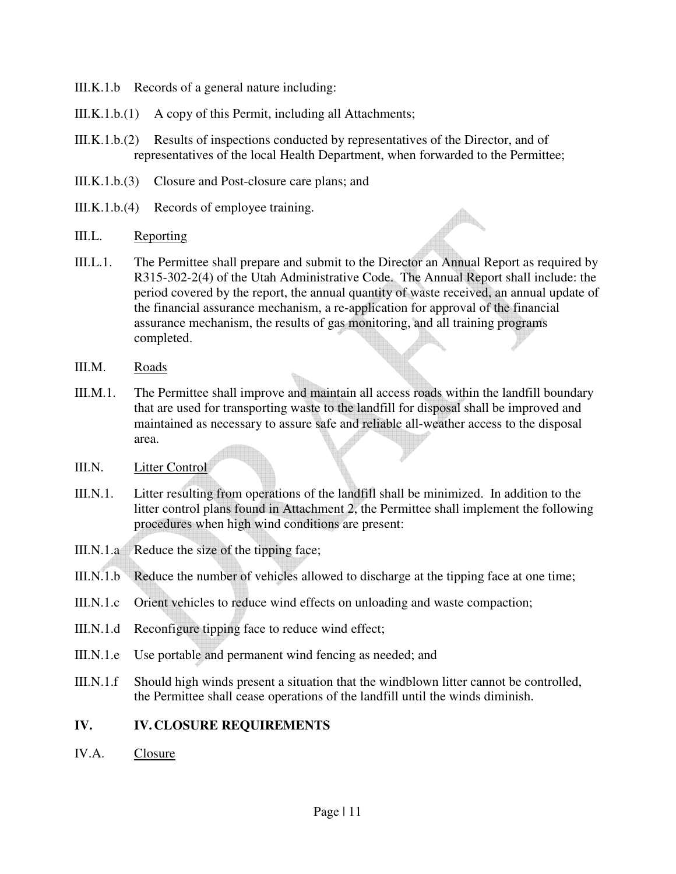- III.K.1.b Records of a general nature including:
- III.K.1.b.(1) A copy of this Permit, including all Attachments;
- III.K.1.b.(2) Results of inspections conducted by representatives of the Director, and of representatives of the local Health Department, when forwarded to the Permittee;
- III.K.1.b.(3) Closure and Post-closure care plans; and
- III.K.1.b.(4) Records of employee training.
- III.L. Reporting
- III.L.1. The Permittee shall prepare and submit to the Director an Annual Report as required by R315-302-2(4) of the Utah Administrative Code. The Annual Report shall include: the period covered by the report, the annual quantity of waste received, an annual update of the financial assurance mechanism, a re-application for approval of the financial assurance mechanism, the results of gas monitoring, and all training programs completed.
- III.M. Roads
- III.M.1. The Permittee shall improve and maintain all access roads within the landfill boundary that are used for transporting waste to the landfill for disposal shall be improved and maintained as necessary to assure safe and reliable all-weather access to the disposal area.
- III.N. Litter Control
- III.N.1. Litter resulting from operations of the landfill shall be minimized. In addition to the litter control plans found in Attachment 2, the Permittee shall implement the following procedures when high wind conditions are present:
- III.N.1.a Reduce the size of the tipping face;
- III.N.1.b Reduce the number of vehicles allowed to discharge at the tipping face at one time;
- III.N.1.c Orient vehicles to reduce wind effects on unloading and waste compaction;
- III.N.1.d Reconfigure tipping face to reduce wind effect;
- III.N.1.e Use portable and permanent wind fencing as needed; and
- III.N.1.f Should high winds present a situation that the windblown litter cannot be controlled, the Permittee shall cease operations of the landfill until the winds diminish.

#### **IV. IV. CLOSURE REQUIREMENTS**

IV.A. Closure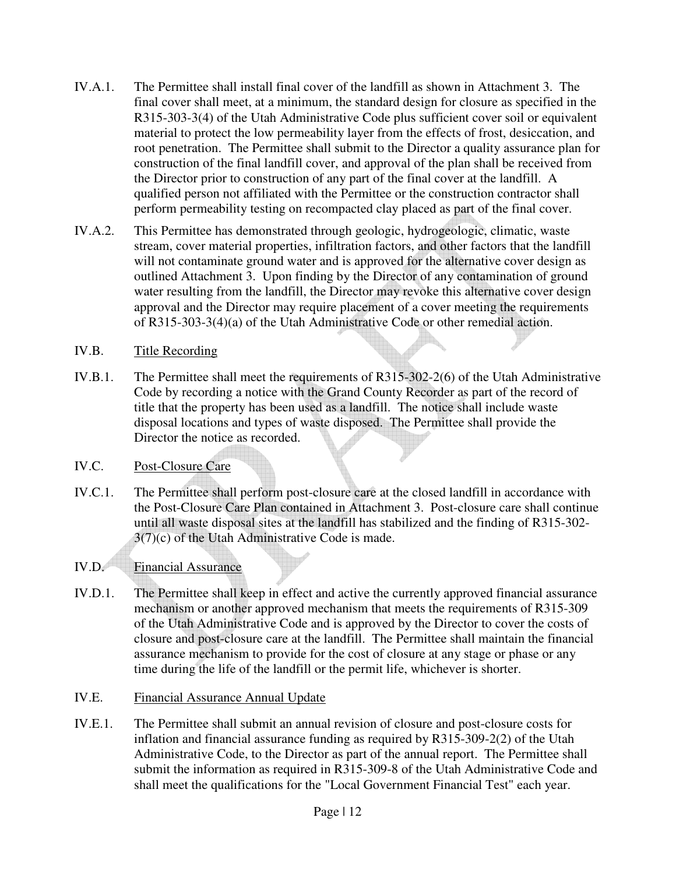- IV.A.1. The Permittee shall install final cover of the landfill as shown in Attachment 3. The final cover shall meet, at a minimum, the standard design for closure as specified in the R315-303-3(4) of the Utah Administrative Code plus sufficient cover soil or equivalent material to protect the low permeability layer from the effects of frost, desiccation, and root penetration. The Permittee shall submit to the Director a quality assurance plan for construction of the final landfill cover, and approval of the plan shall be received from the Director prior to construction of any part of the final cover at the landfill. A qualified person not affiliated with the Permittee or the construction contractor shall perform permeability testing on recompacted clay placed as part of the final cover.
- IV.A.2. This Permittee has demonstrated through geologic, hydrogeologic, climatic, waste stream, cover material properties, infiltration factors, and other factors that the landfill will not contaminate ground water and is approved for the alternative cover design as outlined Attachment 3. Upon finding by the Director of any contamination of ground water resulting from the landfill, the Director may revoke this alternative cover design approval and the Director may require placement of a cover meeting the requirements of R315-303-3(4)(a) of the Utah Administrative Code or other remedial action.

## IV.B. Title Recording

IV.B.1. The Permittee shall meet the requirements of R315-302-2(6) of the Utah Administrative Code by recording a notice with the Grand County Recorder as part of the record of title that the property has been used as a landfill. The notice shall include waste disposal locations and types of waste disposed. The Permittee shall provide the Director the notice as recorded.

## IV.C. Post-Closure Care

IV.C.1. The Permittee shall perform post-closure care at the closed landfill in accordance with the Post-Closure Care Plan contained in Attachment 3. Post-closure care shall continue until all waste disposal sites at the landfill has stabilized and the finding of R315-302-  $3(7)(c)$  of the Utah Administrative Code is made.

## IV.D. Financial Assurance

IV.D.1. The Permittee shall keep in effect and active the currently approved financial assurance mechanism or another approved mechanism that meets the requirements of R315-309 of the Utah Administrative Code and is approved by the Director to cover the costs of closure and post-closure care at the landfill. The Permittee shall maintain the financial assurance mechanism to provide for the cost of closure at any stage or phase or any time during the life of the landfill or the permit life, whichever is shorter.

#### IV.E. Financial Assurance Annual Update

IV.E.1. The Permittee shall submit an annual revision of closure and post-closure costs for inflation and financial assurance funding as required by R315-309-2(2) of the Utah Administrative Code, to the Director as part of the annual report. The Permittee shall submit the information as required in R315-309-8 of the Utah Administrative Code and shall meet the qualifications for the "Local Government Financial Test" each year.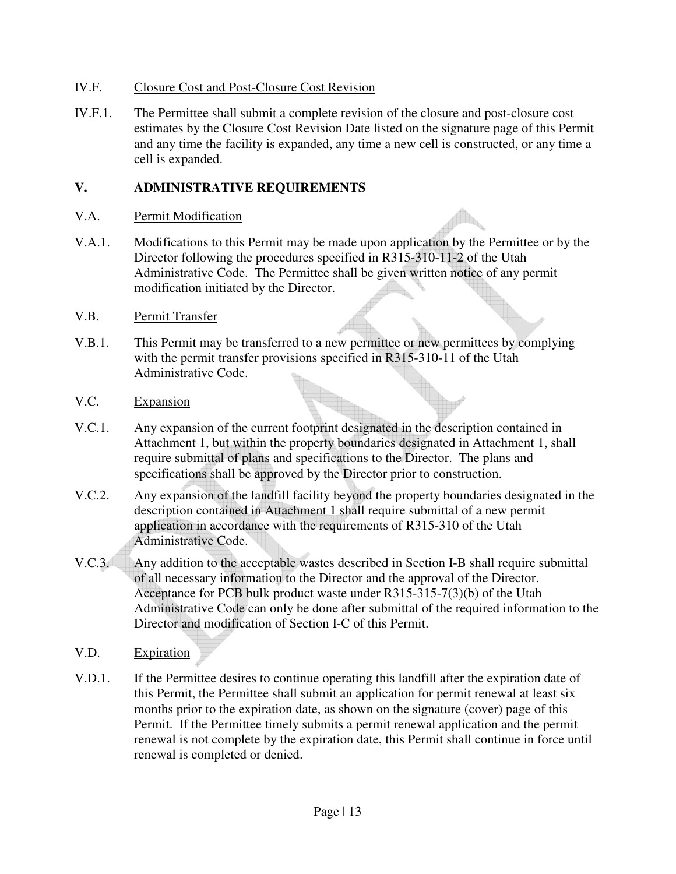#### IV.F. Closure Cost and Post-Closure Cost Revision

IV.F.1. The Permittee shall submit a complete revision of the closure and post-closure cost estimates by the Closure Cost Revision Date listed on the signature page of this Permit and any time the facility is expanded, any time a new cell is constructed, or any time a cell is expanded.

## **V. ADMINISTRATIVE REQUIREMENTS**

- V.A. Permit Modification
- V.A.1. Modifications to this Permit may be made upon application by the Permittee or by the Director following the procedures specified in R315-310-11-2 of the Utah Administrative Code. The Permittee shall be given written notice of any permit modification initiated by the Director.
- V.B. Permit Transfer
- V.B.1. This Permit may be transferred to a new permittee or new permittees by complying with the permit transfer provisions specified in R315-310-11 of the Utah Administrative Code.
- V.C. Expansion
- V.C.1. Any expansion of the current footprint designated in the description contained in Attachment 1, but within the property boundaries designated in Attachment 1, shall require submittal of plans and specifications to the Director. The plans and specifications shall be approved by the Director prior to construction.
- V.C.2. Any expansion of the landfill facility beyond the property boundaries designated in the description contained in Attachment 1 shall require submittal of a new permit application in accordance with the requirements of R315-310 of the Utah Administrative Code.
- V.C.3. Any addition to the acceptable wastes described in Section I-B shall require submittal of all necessary information to the Director and the approval of the Director. Acceptance for PCB bulk product waste under R315-315-7(3)(b) of the Utah Administrative Code can only be done after submittal of the required information to the Director and modification of Section I-C of this Permit.
- V.D. Expiration
- V.D.1. If the Permittee desires to continue operating this landfill after the expiration date of this Permit, the Permittee shall submit an application for permit renewal at least six months prior to the expiration date, as shown on the signature (cover) page of this Permit. If the Permittee timely submits a permit renewal application and the permit renewal is not complete by the expiration date, this Permit shall continue in force until renewal is completed or denied.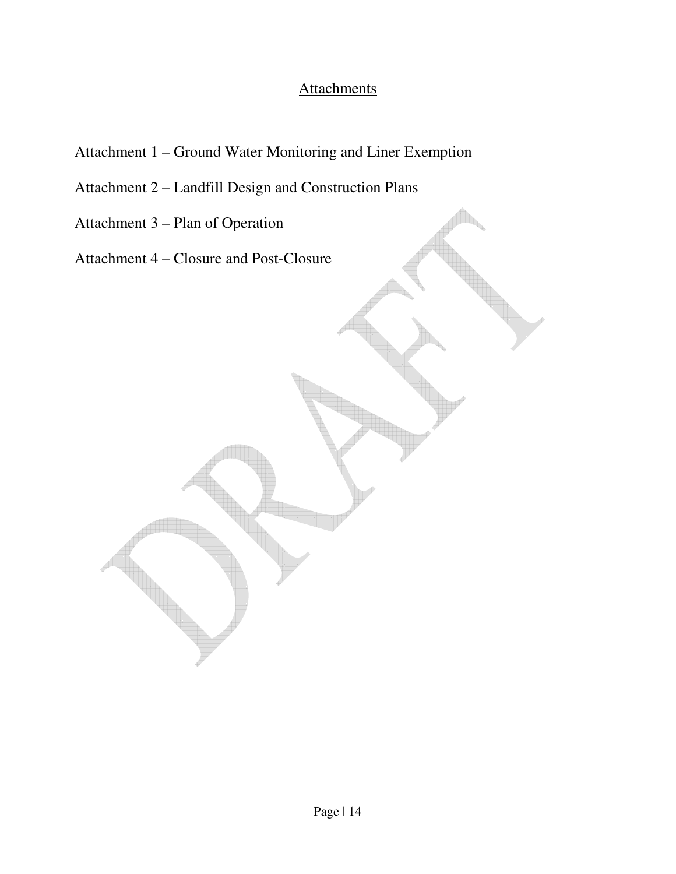# **Attachments**

- Attachment 1 Ground Water Monitoring and Liner Exemption
- Attachment 2 Landfill Design and Construction Plans
- Attachment 3 Plan of Operation
- Attachment 4 Closure and Post-Closure